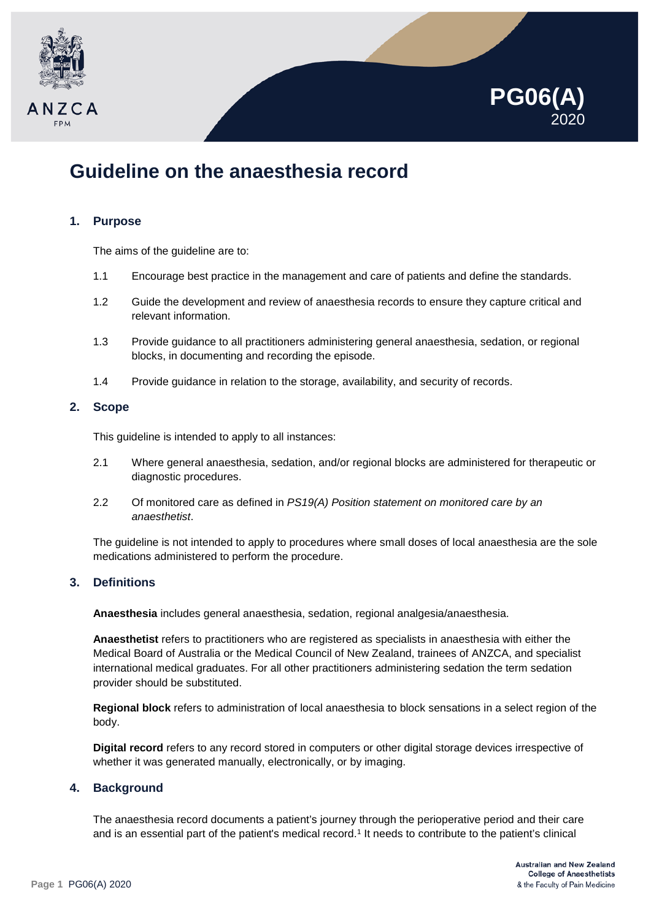



# **Guideline on the anaesthesia record**

# **1. Purpose**

The aims of the guideline are to:

- 1.1 Encourage best practice in the management and care of patients and define the standards.
- 1.2 Guide the development and review of anaesthesia records to ensure they capture critical and relevant information.
- 1.3 Provide guidance to all practitioners administering general anaesthesia, sedation, or regional blocks, in documenting and recording the episode.
- 1.4 Provide guidance in relation to the storage, availability, and security of records.

# **2. Scope**

This guideline is intended to apply to all instances:

- 2.1 Where general anaesthesia, sedation, and/or regional blocks are administered for therapeutic or diagnostic procedures.
- 2.2 Of monitored care as defined in *PS19(A) Position statement on monitored care by an anaesthetist*.

The guideline is not intended to apply to procedures where small doses of local anaesthesia are the sole medications administered to perform the procedure.

# **3. Definitions**

**Anaesthesia** includes general anaesthesia, sedation, regional analgesia/anaesthesia.

**Anaesthetist** refers to practitioners who are registered as specialists in anaesthesia with either the Medical Board of Australia or the Medical Council of New Zealand, trainees of ANZCA, and specialist international medical graduates. For all other practitioners administering sedation the term sedation provider should be substituted.

**Regional block** refers to administration of local anaesthesia to block sensations in a select region of the body.

**Digital record** refers to any record stored in computers or other digital storage devices irrespective of whether it was generated manually, electronically, or by imaging.

# **4. Background**

The anaesthesia record documents a patient's journey through the perioperative period and their care and is an essential part of the patient's medical record.<sup>1</sup> It needs to contribute to the patient's clinical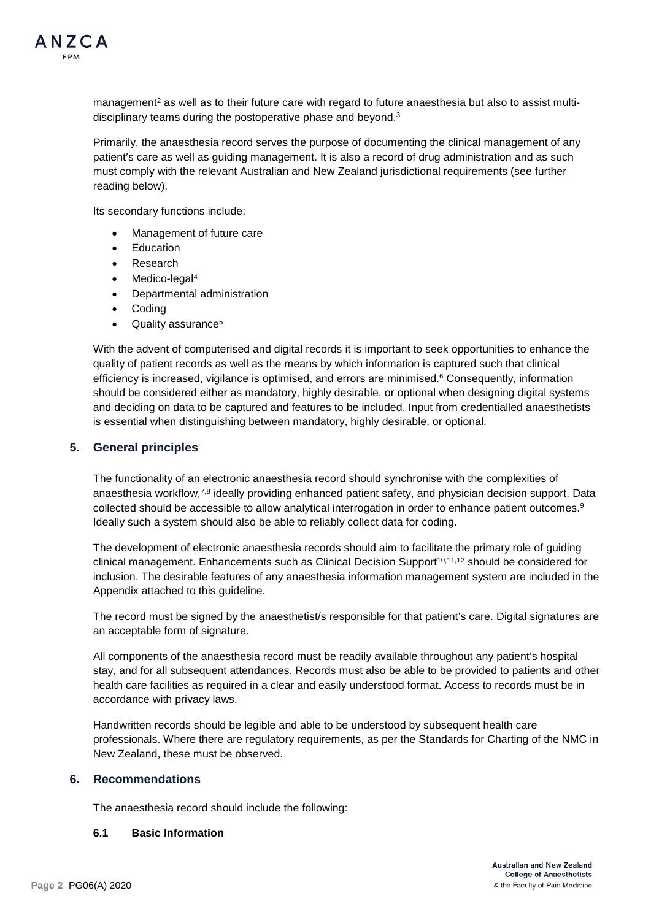

management<sup>2</sup> as well as to their future care with regard to future anaesthesia but also to assist multidisciplinary teams during the postoperative phase and beyond.<sup>3</sup>

Primarily, the anaesthesia record serves the purpose of documenting the clinical management of any patient's care as well as guiding management. It is also a record of drug administration and as such must comply with the relevant Australian and New Zealand jurisdictional requirements (see further reading below).

Its secondary functions include:

- Management of future care
- **Education**
- **Research**
- Medico-legal<sup>4</sup>
- Departmental administration
- Coding
- Quality assurance<sup>5</sup>

With the advent of computerised and digital records it is important to seek opportunities to enhance the quality of patient records as well as the means by which information is captured such that clinical efficiency is increased, vigilance is optimised, and errors are minimised.<sup>6</sup> Consequently, information should be considered either as mandatory, highly desirable, or optional when designing digital systems and deciding on data to be captured and features to be included. Input from credentialled anaesthetists is essential when distinguishing between mandatory, highly desirable, or optional.

# **5. General principles**

The functionality of an electronic anaesthesia record should synchronise with the complexities of anaesthesia workflow,<sup>7,8</sup> ideally providing enhanced patient safety, and physician decision support. Data collected should be accessible to allow analytical interrogation in order to enhance patient outcomes.<sup>9</sup> Ideally such a system should also be able to reliably collect data for coding.

The development of electronic anaesthesia records should aim to facilitate the primary role of guiding clinical management. Enhancements such as Clinical Decision Support<sup>10,11,12</sup> should be considered for inclusion. The desirable features of any anaesthesia information management system are included in the Appendix attached to this guideline.

The record must be signed by the anaesthetist/s responsible for that patient's care. Digital signatures are an acceptable form of signature.

All components of the anaesthesia record must be readily available throughout any patient's hospital stay, and for all subsequent attendances. Records must also be able to be provided to patients and other health care facilities as required in a clear and easily understood format. Access to records must be in accordance with privacy laws.

Handwritten records should be legible and able to be understood by subsequent health care professionals. Where there are regulatory requirements, as per the Standards for Charting of the NMC in New Zealand, these must be observed.

#### **6. Recommendations**

The anaesthesia record should include the following:

#### **6.1 Basic Information**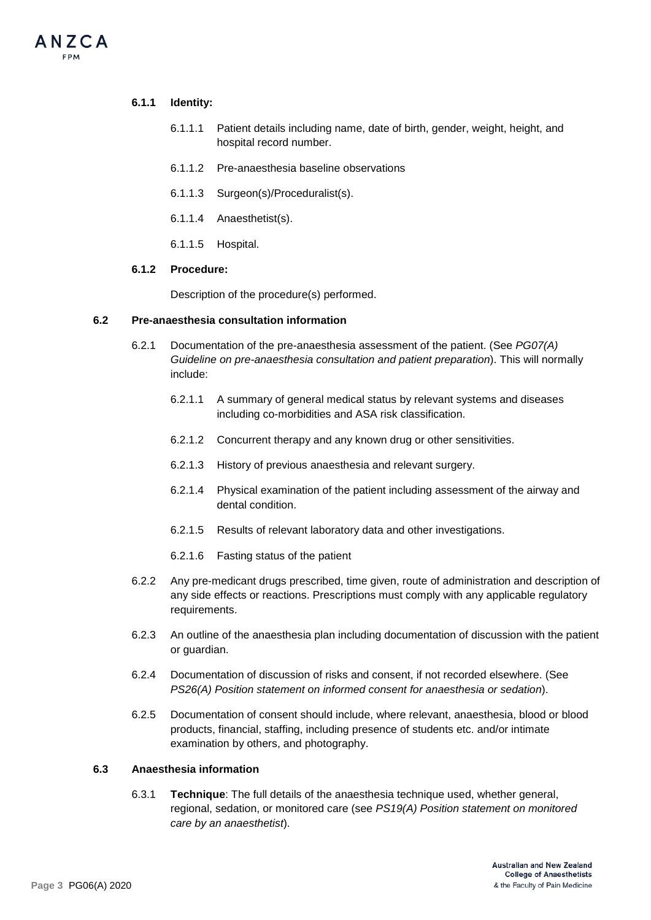# **6.1.1 Identity:**

ANZCA

- 6.1.1.1 Patient details including name, date of birth, gender, weight, height, and hospital record number.
- 6.1.1.2 Pre-anaesthesia baseline observations
- 6.1.1.3 Surgeon(s)/Proceduralist(s).
- 6.1.1.4 Anaesthetist(s).
- 6.1.1.5 Hospital.

#### **6.1.2 Procedure:**

Description of the procedure(s) performed.

#### **6.2 Pre-anaesthesia consultation information**

- 6.2.1 Documentation of the pre-anaesthesia assessment of the patient. (See *PG07(A) Guideline on pre-anaesthesia consultation and patient preparation*). This will normally include:
	- 6.2.1.1 A summary of general medical status by relevant systems and diseases including co-morbidities and ASA risk classification.
	- 6.2.1.2 Concurrent therapy and any known drug or other sensitivities.
	- 6.2.1.3 History of previous anaesthesia and relevant surgery.
	- 6.2.1.4 Physical examination of the patient including assessment of the airway and dental condition.
	- 6.2.1.5 Results of relevant laboratory data and other investigations.
	- 6.2.1.6 Fasting status of the patient
- 6.2.2 Any pre-medicant drugs prescribed, time given, route of administration and description of any side effects or reactions. Prescriptions must comply with any applicable regulatory requirements.
- 6.2.3 An outline of the anaesthesia plan including documentation of discussion with the patient or guardian.
- 6.2.4 Documentation of discussion of risks and consent, if not recorded elsewhere. (See *PS26(A) Position statement on informed consent for anaesthesia or sedation*).
- 6.2.5 Documentation of consent should include, where relevant, anaesthesia, blood or blood products, financial, staffing, including presence of students etc. and/or intimate examination by others, and photography.

#### **6.3 Anaesthesia information**

6.3.1 **Technique**: The full details of the anaesthesia technique used, whether general, regional, sedation, or monitored care (see *PS19(A) Position statement on monitored care by an anaesthetist*).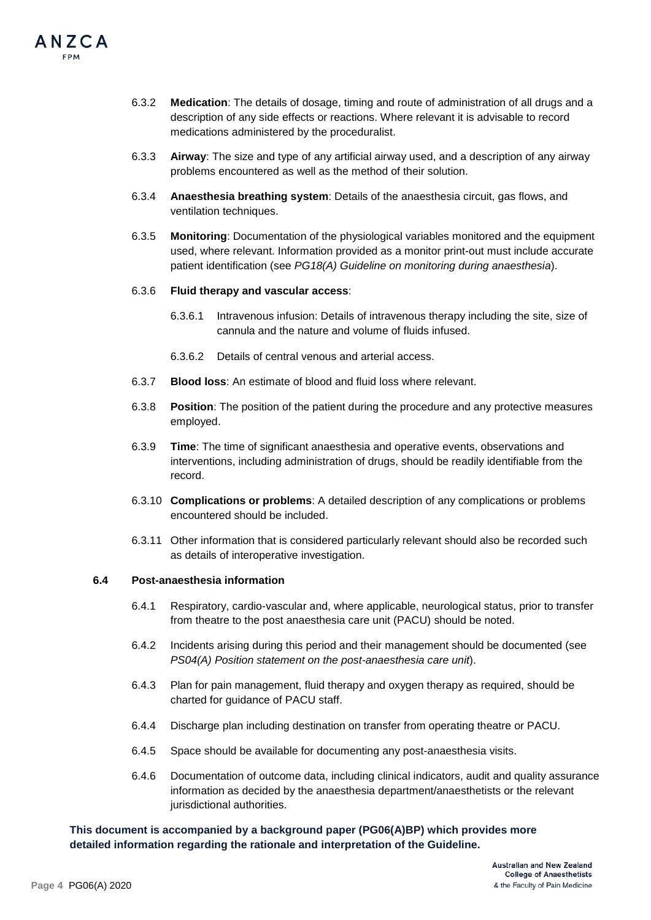

- 6.3.2 **Medication**: The details of dosage, timing and route of administration of all drugs and a description of any side effects or reactions. Where relevant it is advisable to record medications administered by the proceduralist.
- 6.3.3 **Airway**: The size and type of any artificial airway used, and a description of any airway problems encountered as well as the method of their solution.
- 6.3.4 **Anaesthesia breathing system**: Details of the anaesthesia circuit, gas flows, and ventilation techniques.
- 6.3.5 **Monitoring**: Documentation of the physiological variables monitored and the equipment used, where relevant. Information provided as a monitor print-out must include accurate patient identification (see *PG18(A) Guideline on monitoring during anaesthesia*).

#### 6.3.6 **Fluid therapy and vascular access**:

- 6.3.6.1 Intravenous infusion: Details of intravenous therapy including the site, size of cannula and the nature and volume of fluids infused.
- 6.3.6.2 Details of central venous and arterial access.
- 6.3.7 **Blood loss**: An estimate of blood and fluid loss where relevant.
- 6.3.8 **Position**: The position of the patient during the procedure and any protective measures employed.
- 6.3.9 **Time**: The time of significant anaesthesia and operative events, observations and interventions, including administration of drugs, should be readily identifiable from the record.
- 6.3.10 **Complications or problems**: A detailed description of any complications or problems encountered should be included.
- 6.3.11 Other information that is considered particularly relevant should also be recorded such as details of interoperative investigation.

#### **6.4 Post-anaesthesia information**

- 6.4.1 Respiratory, cardio-vascular and, where applicable, neurological status, prior to transfer from theatre to the post anaesthesia care unit (PACU) should be noted.
- 6.4.2 Incidents arising during this period and their management should be documented (see *PS04(A) Position statement on the post-anaesthesia care unit*).
- 6.4.3 Plan for pain management, fluid therapy and oxygen therapy as required, should be charted for guidance of PACU staff.
- 6.4.4 Discharge plan including destination on transfer from operating theatre or PACU.
- 6.4.5 Space should be available for documenting any post-anaesthesia visits.
- 6.4.6 Documentation of outcome data, including clinical indicators, audit and quality assurance information as decided by the anaesthesia department/anaesthetists or the relevant jurisdictional authorities.

#### **This document is accompanied by a background paper (PG06(A)BP) which provides more detailed information regarding the rationale and interpretation of the Guideline.**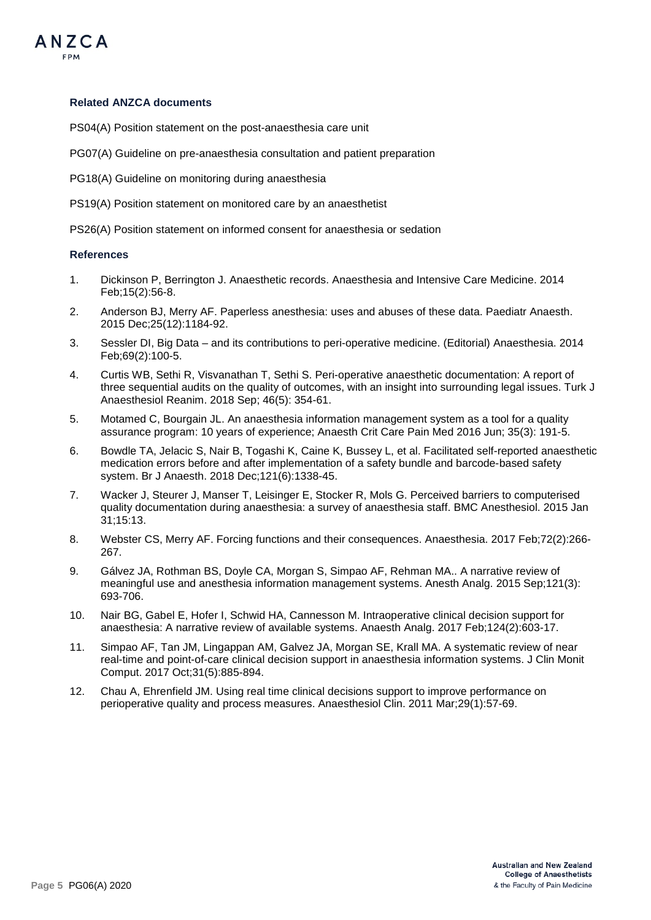

#### **Related ANZCA documents**

PS04(A) Position statement on the post-anaesthesia care unit

PG07(A) Guideline on pre-anaesthesia consultation and patient preparation

PG18(A) Guideline on monitoring during anaesthesia

PS19(A) Position statement on monitored care by an anaesthetist

PS26(A) Position statement on informed consent for anaesthesia or sedation

#### **References**

- 1. Dickinson P, Berrington J. Anaesthetic records. Anaesthesia and Intensive Care Medicine. 2014 Feb;15(2):56-8.
- 2. Anderson BJ, Merry AF. Paperless anesthesia: uses and abuses of these data. Paediatr Anaesth. 2015 Dec;25(12):1184-92.
- 3. Sessler DI, Big Data and its contributions to peri-operative medicine. (Editorial) Anaesthesia. 2014 Feb;69(2):100-5.
- 4. Curtis WB, Sethi R, Visvanathan T, Sethi S. Peri-operative anaesthetic documentation: A report of three sequential audits on the quality of outcomes, with an insight into surrounding legal issues. Turk J Anaesthesiol Reanim. 2018 Sep; 46(5): 354-61.
- 5. Motamed C, Bourgain JL. An anaesthesia information management system as a tool for a quality assurance program: 10 years of experience; Anaesth Crit Care Pain Med 2016 Jun; 35(3): 191-5.
- 6. Bowdle TA, Jelacic S, Nair B, Togashi K, Caine K, Bussey L, et al. Facilitated self-reported anaesthetic medication errors before and after implementation of a safety bundle and barcode-based safety system. Br J Anaesth. 2018 Dec;121(6):1338-45.
- 7. Wacker J, Steurer J, Manser T, Leisinger E, Stocker R, Mols G. Perceived barriers to computerised quality documentation during anaesthesia: a survey of anaesthesia staff. BMC Anesthesiol. 2015 Jan 31;15:13.
- 8. Webster CS, Merry AF. Forcing functions and their consequences. Anaesthesia. 2017 Feb;72(2):266- 267.
- 9. Gálvez JA, Rothman BS, Doyle CA, Morgan S, Simpao AF, Rehman MA.. A narrative review of meaningful use and anesthesia information management systems. Anesth Analg. 2015 Sep;121(3): 693-706.
- 10. Nair BG, Gabel E, Hofer I, Schwid HA, Cannesson M. Intraoperative clinical decision support for anaesthesia: A narrative review of available systems. Anaesth Analg. 2017 Feb;124(2):603-17.
- 11. Simpao AF, Tan JM, Lingappan AM, Galvez JA, Morgan SE, Krall MA. A systematic review of near real-time and point-of-care clinical decision support in anaesthesia information systems. J Clin Monit Comput. 2017 Oct;31(5):885-894.
- 12. Chau A, Ehrenfield JM. Using real time clinical decisions support to improve performance on perioperative quality and process measures. Anaesthesiol Clin. 2011 Mar;29(1):57-69.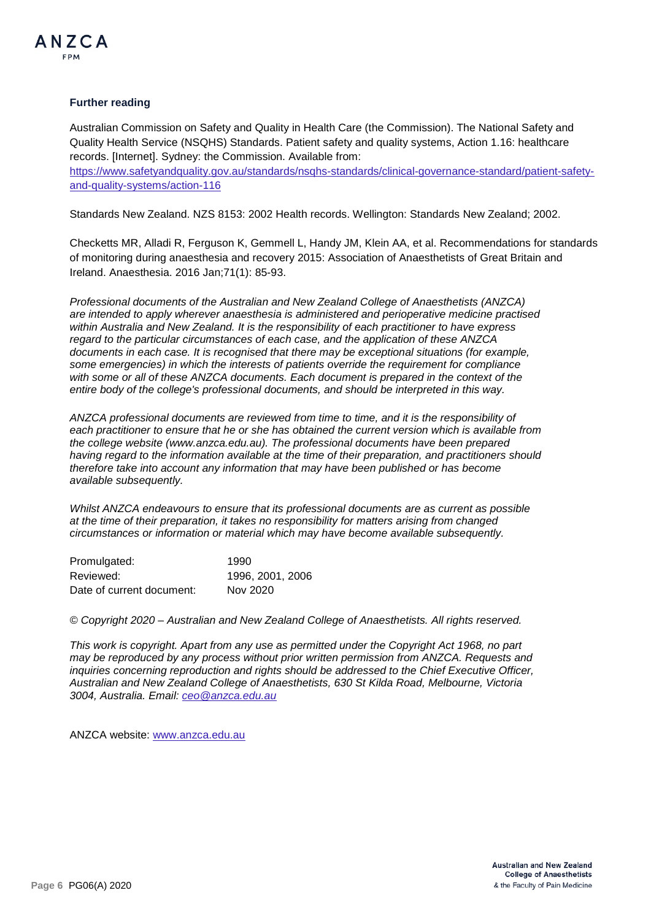

#### **Further reading**

Australian Commission on Safety and Quality in Health Care (the Commission). The National Safety and Quality Health Service (NSQHS) Standards. Patient safety and quality systems, Action 1.16: healthcare records. [Internet]. Sydney: the Commission. Available from:

[https://www.safetyandquality.gov.au/standards/nsqhs-standards/clinical-governance-standard/patient-safety](https://www.safetyandquality.gov.au/standards/nsqhs-standards/clinical-governance-standard/patient-safety-and-quality-systems/action-116)[and-quality-systems/action-116](https://www.safetyandquality.gov.au/standards/nsqhs-standards/clinical-governance-standard/patient-safety-and-quality-systems/action-116)

Standards New Zealand. NZS 8153: 2002 Health records. Wellington: Standards New Zealand; 2002.

Checketts MR, Alladi R, Ferguson K, Gemmell L, Handy JM, Klein AA, et al. Recommendations for standards of monitoring during anaesthesia and recovery 2015: Association of Anaesthetists of Great Britain and Ireland. Anaesthesia. 2016 Jan;71(1): 85-93.

*Professional documents of the Australian and New Zealand College of Anaesthetists (ANZCA) are intended to apply wherever anaesthesia is administered and perioperative medicine practised within Australia and New Zealand. It is the responsibility of each practitioner to have express regard to the particular circumstances of each case, and the application of these ANZCA documents in each case. It is recognised that there may be exceptional situations (for example, some emergencies) in which the interests of patients override the requirement for compliance with some or all of these ANZCA documents. Each document is prepared in the context of the entire body of the college's professional documents, and should be interpreted in this way.*

*ANZCA professional documents are reviewed from time to time, and it is the responsibility of each practitioner to ensure that he or she has obtained the current version which is available from the college website [\(www.anzca.edu.au\)](http://www.anzca.edu.au/). The professional documents have been prepared having regard to the information available at the time of their preparation, and practitioners should therefore take into account any information that may have been published or has become available subsequently.*

*Whilst ANZCA endeavours to ensure that its professional documents are as current as possible at the time of their preparation, it takes no responsibility for matters arising from changed circumstances or information or material which may have become available subsequently.*

| Promulgated:              | 1990             |
|---------------------------|------------------|
| Reviewed:                 | 1996. 2001. 2006 |
| Date of current document: | Nov 2020         |

*© Copyright 2020 – Australian and New Zealand College of Anaesthetists. All rights reserved.*

*This work is copyright. Apart from any use as permitted under the Copyright Act 1968, no part may be reproduced by any process without prior written permission from ANZCA. Requests and inquiries concerning reproduction and rights should be addressed to the Chief Executive Officer, Australian and New Zealand College of Anaesthetists, 630 St Kilda Road, Melbourne, Victoria 3004, Australia. Email: [ceo@anzca.edu.au](mailto:ceoanzca@anzca.edu.au)*

ANZCA website: [www.anzca.edu.au](http://www.anzca.edu.au/)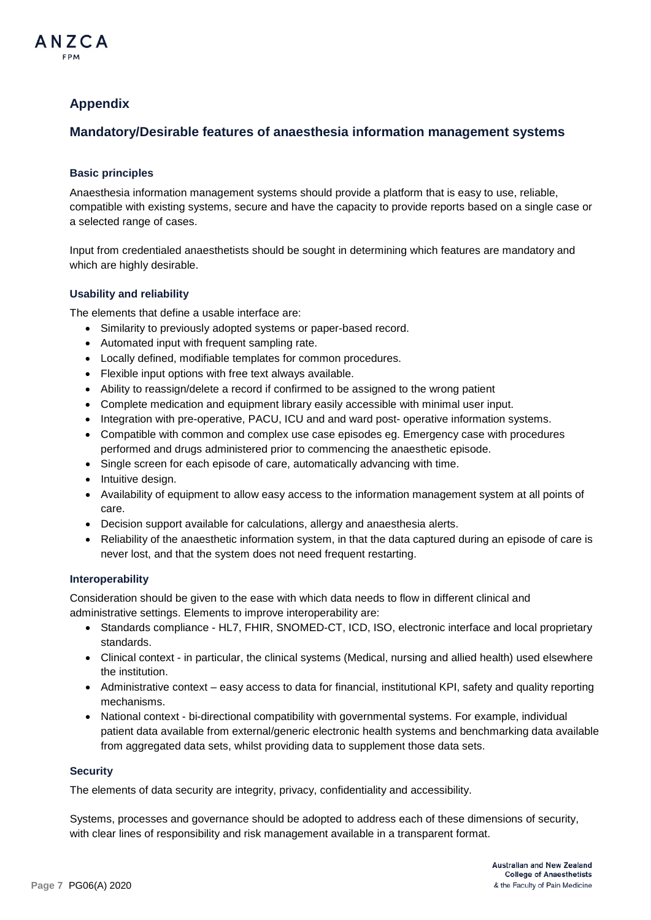# **Appendix**

# **Mandatory/Desirable features of anaesthesia information management systems**

# **Basic principles**

Anaesthesia information management systems should provide a platform that is easy to use, reliable, compatible with existing systems, secure and have the capacity to provide reports based on a single case or a selected range of cases.

Input from credentialed anaesthetists should be sought in determining which features are mandatory and which are highly desirable.

#### **Usability and reliability**

The elements that define a usable interface are:

- Similarity to previously adopted systems or paper-based record.
- Automated input with frequent sampling rate.
- Locally defined, modifiable templates for common procedures.
- Flexible input options with free text always available.
- Ability to reassign/delete a record if confirmed to be assigned to the wrong patient
- Complete medication and equipment library easily accessible with minimal user input.
- Integration with pre-operative, PACU, ICU and and ward post- operative information systems.
- Compatible with common and complex use case episodes eg. Emergency case with procedures performed and drugs administered prior to commencing the anaesthetic episode.
- Single screen for each episode of care, automatically advancing with time.
- Intuitive design.
- Availability of equipment to allow easy access to the information management system at all points of care.
- Decision support available for calculations, allergy and anaesthesia alerts.
- Reliability of the anaesthetic information system, in that the data captured during an episode of care is never lost, and that the system does not need frequent restarting.

#### **Interoperability**

Consideration should be given to the ease with which data needs to flow in different clinical and administrative settings. Elements to improve interoperability are:

- Standards compliance HL7, FHIR, SNOMED-CT, ICD, ISO, electronic interface and local proprietary standards.
- Clinical context in particular, the clinical systems (Medical, nursing and allied health) used elsewhere the institution.
- Administrative context easy access to data for financial, institutional KPI, safety and quality reporting mechanisms.
- National context bi-directional compatibility with governmental systems. For example, individual patient data available from external/generic electronic health systems and benchmarking data available from aggregated data sets, whilst providing data to supplement those data sets.

#### **Security**

The elements of data security are integrity, privacy, confidentiality and accessibility.

Systems, processes and governance should be adopted to address each of these dimensions of security, with clear lines of responsibility and risk management available in a transparent format.